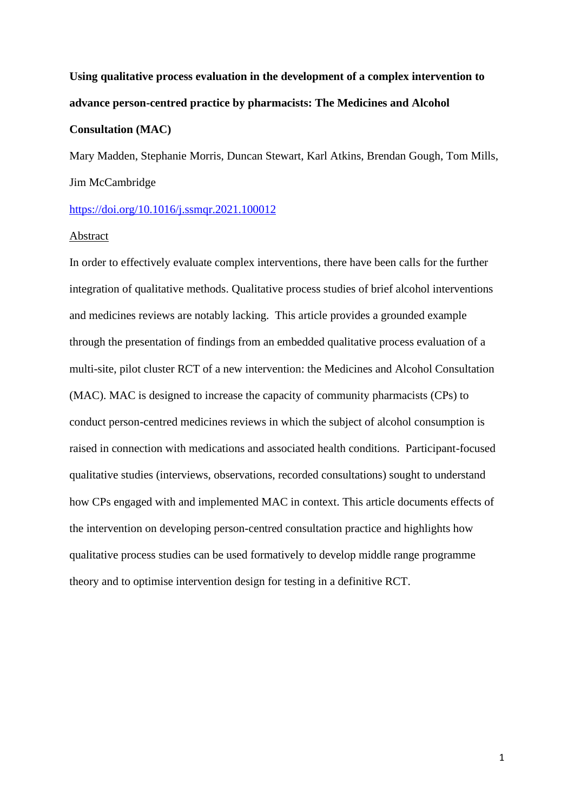# **Using qualitative process evaluation in the development of a complex intervention to advance person-centred practice by pharmacists: The Medicines and Alcohol**

## **Consultation (MAC)**

Mary Madden, Stephanie Morris, Duncan Stewart, Karl Atkins, Brendan Gough, Tom Mills, Jim McCambridge

# <https://doi.org/10.1016/j.ssmqr.2021.100012>

## Abstract

In order to effectively evaluate complex interventions, there have been calls for the further integration of qualitative methods. Qualitative process studies of brief alcohol interventions and medicines reviews are notably lacking. This article provides a grounded example through the presentation of findings from an embedded qualitative process evaluation of a multi-site, pilot cluster RCT of a new intervention: the Medicines and Alcohol Consultation (MAC). MAC is designed to increase the capacity of community pharmacists (CPs) to conduct person-centred medicines reviews in which the subject of alcohol consumption is raised in connection with medications and associated health conditions. Participant-focused qualitative studies (interviews, observations, recorded consultations) sought to understand how CPs engaged with and implemented MAC in context. This article documents effects of the intervention on developing person-centred consultation practice and highlights how qualitative process studies can be used formatively to develop middle range programme theory and to optimise intervention design for testing in a definitive RCT.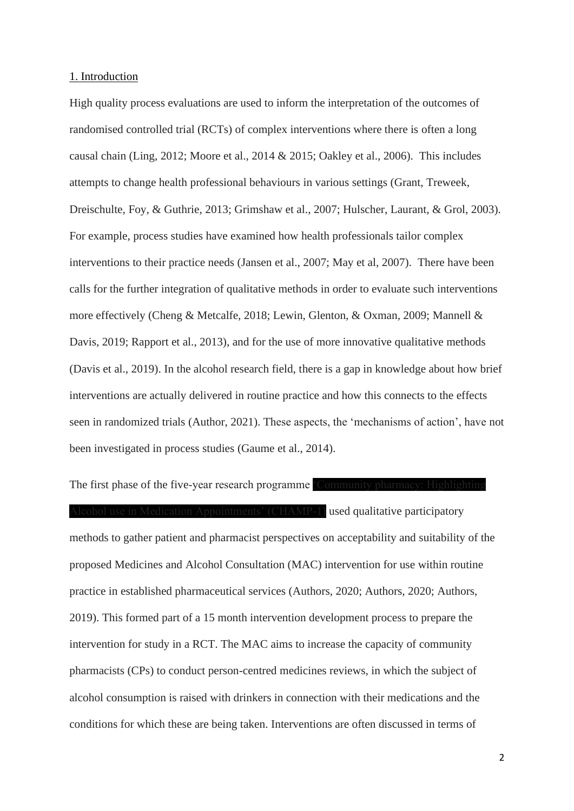### 1. Introduction

High quality process evaluations are used to inform the interpretation of the outcomes of randomised controlled trial (RCTs) of complex interventions where there is often a long causal chain (Ling, 2012; Moore et al., 2014 & 2015; Oakley et al., 2006). This includes attempts to change health professional behaviours in various settings (Grant, Treweek, Dreischulte, Foy, & Guthrie, 2013; Grimshaw et al., 2007; Hulscher, Laurant, & Grol, 2003). For example, process studies have examined how health professionals tailor complex interventions to their practice needs (Jansen et al., 2007; May et al, 2007). There have been calls for the further integration of qualitative methods in order to evaluate such interventions more effectively (Cheng & Metcalfe, 2018; Lewin, Glenton, & Oxman, 2009; Mannell & Davis, 2019; Rapport et al., 2013), and for the use of more innovative qualitative methods (Davis et al., 2019). In the alcohol research field, there is a gap in knowledge about how brief interventions are actually delivered in routine practice and how this connects to the effects seen in randomized trials (Author, 2021). These aspects, the 'mechanisms of action', have not been investigated in process studies (Gaume et al., 2014).

The first phase of the five-year research programme 'Community pharmacy Alcohol use in Medication Appointments' (CHAMP-1) used qualitative participatory methods to gather patient and pharmacist perspectives on acceptability and suitability of the proposed Medicines and Alcohol Consultation (MAC) intervention for use within routine practice in established pharmaceutical services (Authors, 2020; Authors, 2020; Authors, 2019). This formed part of a 15 month intervention development process to prepare the intervention for study in a RCT. The MAC aims to increase the capacity of community pharmacists (CPs) to conduct person-centred medicines reviews, in which the subject of alcohol consumption is raised with drinkers in connection with their medications and the conditions for which these are being taken. Interventions are often discussed in terms of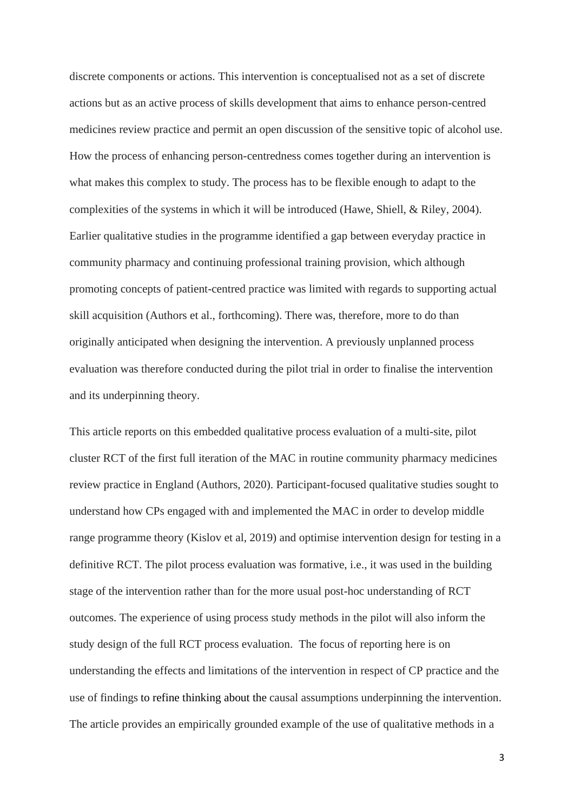discrete components or actions. This intervention is conceptualised not as a set of discrete actions but as an active process of skills development that aims to enhance person-centred medicines review practice and permit an open discussion of the sensitive topic of alcohol use. How the process of enhancing person-centredness comes together during an intervention is what makes this complex to study. The process has to be flexible enough to adapt to the complexities of the systems in which it will be introduced (Hawe, Shiell, & Riley, 2004). Earlier qualitative studies in the programme identified a gap between everyday practice in community pharmacy and continuing professional training provision, which although promoting concepts of patient-centred practice was limited with regards to supporting actual skill acquisition (Authors et al., forthcoming). There was, therefore, more to do than originally anticipated when designing the intervention. A previously unplanned process evaluation was therefore conducted during the pilot trial in order to finalise the intervention and its underpinning theory.

This article reports on this embedded qualitative process evaluation of a multi-site, pilot cluster RCT of the first full iteration of the MAC in routine community pharmacy medicines review practice in England (Authors, 2020). Participant-focused qualitative studies sought to understand how CPs engaged with and implemented the MAC in order to develop middle range programme theory (Kislov et al, 2019) and optimise intervention design for testing in a definitive RCT. The pilot process evaluation was formative, i.e., it was used in the building stage of the intervention rather than for the more usual post-hoc understanding of RCT outcomes. The experience of using process study methods in the pilot will also inform the study design of the full RCT process evaluation. The focus of reporting here is on understanding the effects and limitations of the intervention in respect of CP practice and the use of findings to refine thinking about the causal assumptions underpinning the intervention. The article provides an empirically grounded example of the use of qualitative methods in a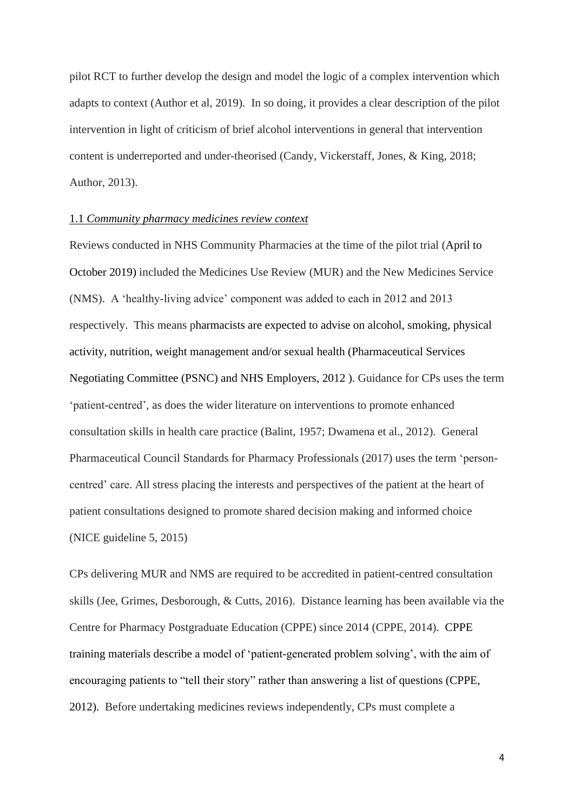pilot RCT to further develop the design and model the logic of a complex intervention which adapts to context (Author et al, 2019). In so doing, it provides a clear description of the pilot intervention in light of criticism of brief alcohol interventions in general that intervention content is underreported and under-theorised (Candy, Vickerstaff, Jones, & King, 2018; Author, 2013).

## 1.1 *Community pharmacy medicines review context*

Reviews conducted in NHS Community Pharmacies at the time of the pilot trial (April to October 2019) included the Medicines Use Review (MUR) and the New Medicines Service (NMS). A 'healthy-living advice' component was added to each in 2012 and 2013 respectively. This means pharmacists are expected to advise on alcohol, smoking, physical activity, nutrition, weight management and/or sexual health (Pharmaceutical Services Negotiating Committee (PSNC) and NHS Employers, 2012 ). Guidance for CPs uses the term 'patient-centred', as does the wider literature on interventions to promote enhanced consultation skills in health care practice (Balint, 1957; Dwamena et al., 2012). General Pharmaceutical Council Standards for Pharmacy Professionals (2017) uses the term 'personcentred' care. All stress placing the interests and perspectives of the patient at the heart of patient consultations designed to promote shared decision making and informed choice (NICE guideline 5, 2015)

CPs delivering MUR and NMS are required to be accredited in patient-centred consultation skills (Jee, Grimes, Desborough, & Cutts, 2016). Distance learning has been available via the Centre for Pharmacy Postgraduate Education (CPPE) since 2014 (CPPE, 2014). CPPE training materials describe a model of 'patient-generated problem solving', with the aim of encouraging patients to "tell their story" rather than answering a list of questions (CPPE, 2012). Before undertaking medicines reviews independently, CPs must complete a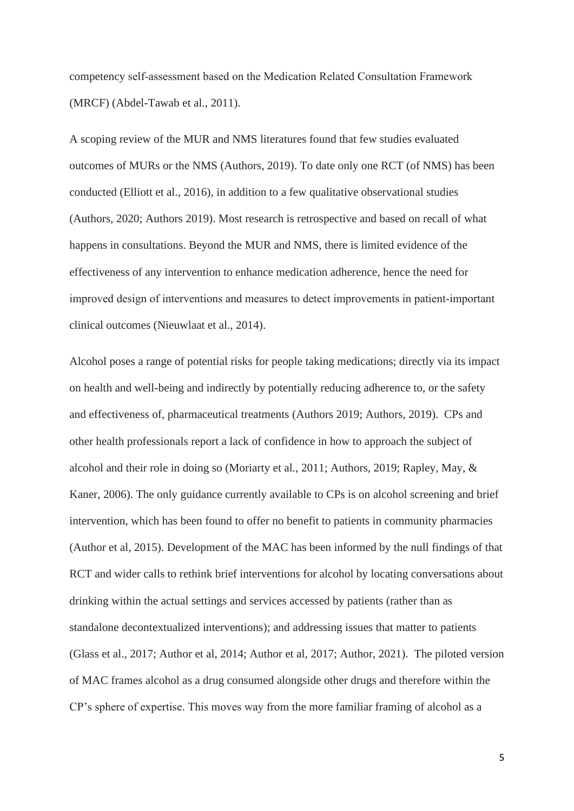competency self‐assessment based on the Medication Related Consultation Framework (MRCF) (Abdel-Tawab et al., 2011).

A scoping review of the MUR and NMS literatures found that few studies evaluated outcomes of MURs or the NMS (Authors, 2019). To date only one RCT (of NMS) has been conducted (Elliott et al., 2016), in addition to a few qualitative observational studies (Authors, 2020; Authors 2019). Most research is retrospective and based on recall of what happens in consultations. Beyond the MUR and NMS, there is limited evidence of the effectiveness of any intervention to enhance medication adherence, hence the need for improved design of interventions and measures to detect improvements in patient‐important clinical outcomes (Nieuwlaat et al., 2014).

Alcohol poses a range of potential risks for people taking medications; directly via its impact on health and well-being and indirectly by potentially reducing adherence to, or the safety and effectiveness of, pharmaceutical treatments (Authors 2019; Authors, 2019). CPs and other health professionals report a lack of confidence in how to approach the subject of alcohol and their role in doing so (Moriarty et al., 2011; Authors, 2019; Rapley, May, & Kaner, 2006). The only guidance currently available to CPs is on alcohol screening and brief intervention, which has been found to offer no benefit to patients in community pharmacies (Author et al, 2015). Development of the MAC has been informed by the null findings of that RCT and wider calls to rethink brief interventions for alcohol by locating conversations about drinking within the actual settings and services accessed by patients (rather than as standalone decontextualized interventions); and addressing issues that matter to patients (Glass et al., 2017; Author et al, 2014; Author et al, 2017; Author, 2021). The piloted version of MAC frames alcohol as a drug consumed alongside other drugs and therefore within the CP's sphere of expertise. This moves way from the more familiar framing of alcohol as a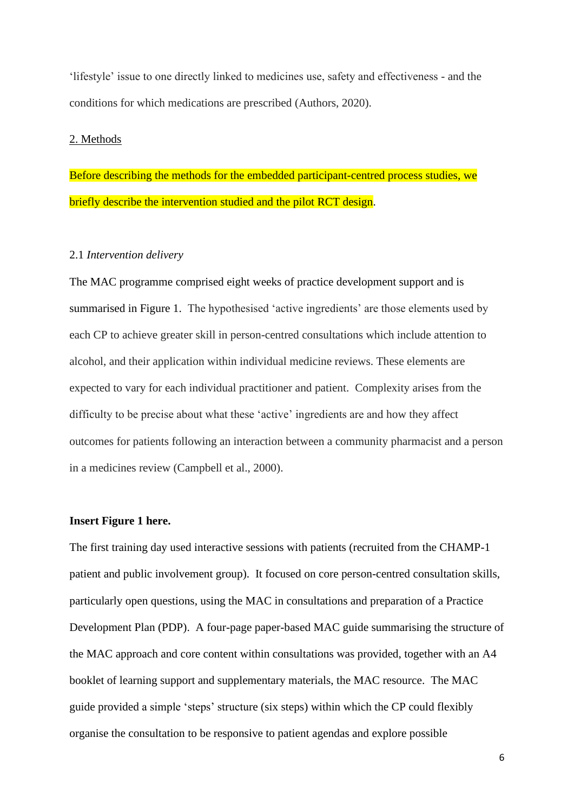'lifestyle' issue to one directly linked to medicines use, safety and effectiveness - and the conditions for which medications are prescribed (Authors, 2020).

## 2. Methods

Before describing the methods for the embedded participant-centred process studies, we briefly describe the intervention studied and the pilot RCT design.

# 2.1 *Intervention delivery*

The MAC programme comprised eight weeks of practice development support and is summarised in Figure 1. The hypothesised 'active ingredients' are those elements used by each CP to achieve greater skill in person-centred consultations which include attention to alcohol, and their application within individual medicine reviews. These elements are expected to vary for each individual practitioner and patient. Complexity arises from the difficulty to be precise about what these 'active' ingredients are and how they affect outcomes for patients following an interaction between a community pharmacist and a person in a medicines review (Campbell et al., 2000).

## **Insert Figure 1 here.**

The first training day used interactive sessions with patients (recruited from the CHAMP-1 patient and public involvement group). It focused on core person-centred consultation skills, particularly open questions, using the MAC in consultations and preparation of a Practice Development Plan (PDP). A four-page paper-based MAC guide summarising the structure of the MAC approach and core content within consultations was provided, together with an A4 booklet of learning support and supplementary materials, the MAC resource. The MAC guide provided a simple 'steps' structure (six steps) within which the CP could flexibly organise the consultation to be responsive to patient agendas and explore possible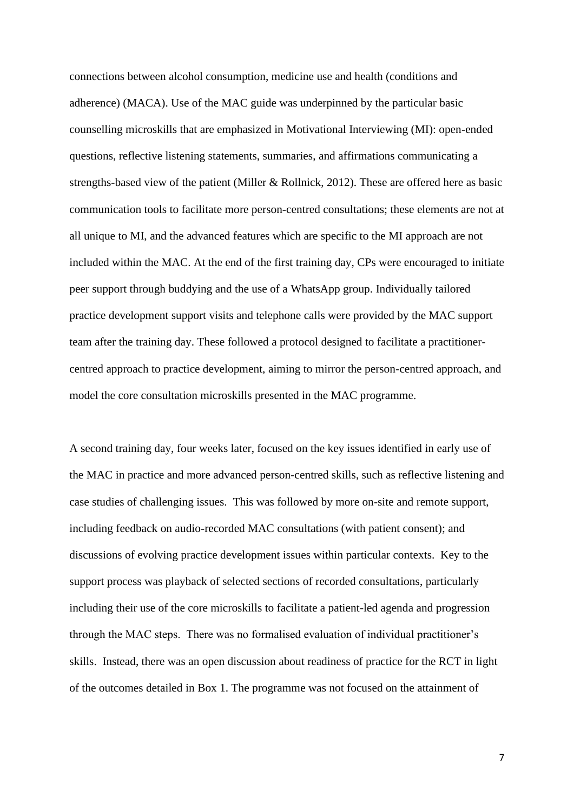connections between alcohol consumption, medicine use and health (conditions and adherence) (MACA). Use of the MAC guide was underpinned by the particular basic counselling microskills that are emphasized in Motivational Interviewing (MI): open-ended questions, reflective listening statements, summaries, and affirmations communicating a strengths-based view of the patient (Miller & Rollnick, 2012). These are offered here as basic communication tools to facilitate more person-centred consultations; these elements are not at all unique to MI, and the advanced features which are specific to the MI approach are not included within the MAC. At the end of the first training day, CPs were encouraged to initiate peer support through buddying and the use of a WhatsApp group. Individually tailored practice development support visits and telephone calls were provided by the MAC support team after the training day. These followed a protocol designed to facilitate a practitionercentred approach to practice development, aiming to mirror the person-centred approach, and model the core consultation microskills presented in the MAC programme.

A second training day, four weeks later, focused on the key issues identified in early use of the MAC in practice and more advanced person-centred skills, such as reflective listening and case studies of challenging issues. This was followed by more on-site and remote support, including feedback on audio-recorded MAC consultations (with patient consent); and discussions of evolving practice development issues within particular contexts. Key to the support process was playback of selected sections of recorded consultations, particularly including their use of the core microskills to facilitate a patient-led agenda and progression through the MAC steps. There was no formalised evaluation of individual practitioner's skills. Instead, there was an open discussion about readiness of practice for the RCT in light of the outcomes detailed in Box 1. The programme was not focused on the attainment of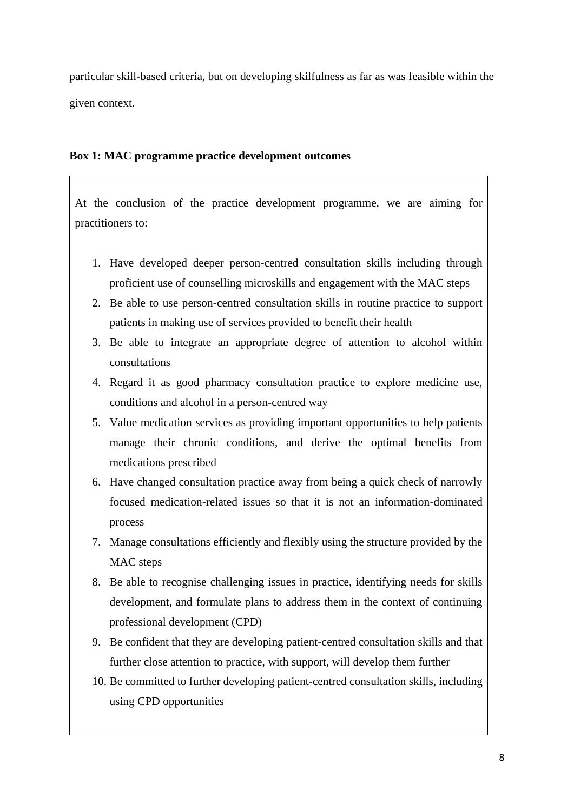particular skill-based criteria, but on developing skilfulness as far as was feasible within the given context.

# **Box 1: MAC programme practice development outcomes**

At the conclusion of the practice development programme, we are aiming for practitioners to:

- 1. Have developed deeper person-centred consultation skills including through proficient use of counselling microskills and engagement with the MAC steps
- 2. Be able to use person-centred consultation skills in routine practice to support patients in making use of services provided to benefit their health
- 3. Be able to integrate an appropriate degree of attention to alcohol within consultations
- 4. Regard it as good pharmacy consultation practice to explore medicine use, conditions and alcohol in a person-centred way
- 5. Value medication services as providing important opportunities to help patients manage their chronic conditions, and derive the optimal benefits from medications prescribed
- 6. Have changed consultation practice away from being a quick check of narrowly focused medication-related issues so that it is not an information-dominated process
- 7. Manage consultations efficiently and flexibly using the structure provided by the MAC steps
- 8. Be able to recognise challenging issues in practice, identifying needs for skills development, and formulate plans to address them in the context of continuing professional development (CPD)
- 9. Be confident that they are developing patient-centred consultation skills and that further close attention to practice, with support, will develop them further
- 10. Be committed to further developing patient-centred consultation skills, including using CPD opportunities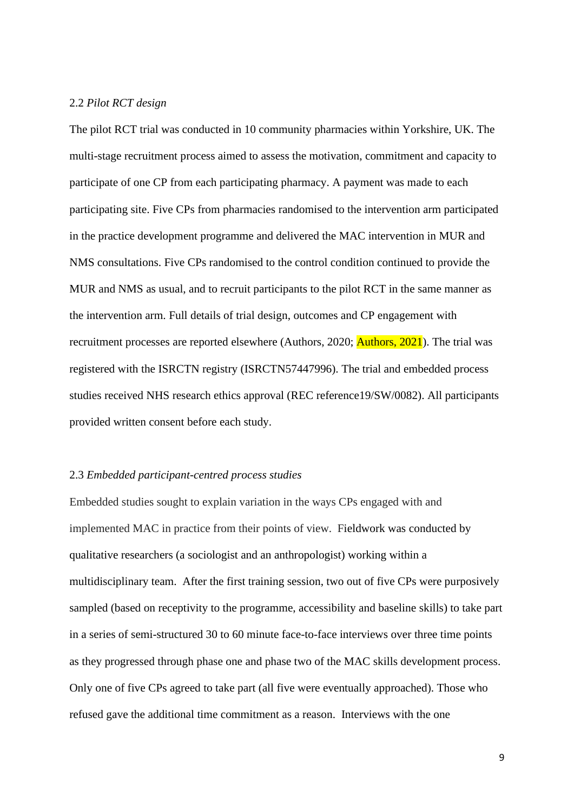# 2.2 *Pilot RCT design*

The pilot RCT trial was conducted in 10 community pharmacies within Yorkshire, UK. The multi-stage recruitment process aimed to assess the motivation, commitment and capacity to participate of one CP from each participating pharmacy. A payment was made to each participating site. Five CPs from pharmacies randomised to the intervention arm participated in the practice development programme and delivered the MAC intervention in MUR and NMS consultations. Five CPs randomised to the control condition continued to provide the MUR and NMS as usual, and to recruit participants to the pilot RCT in the same manner as the intervention arm. Full details of trial design, outcomes and CP engagement with recruitment processes are reported elsewhere (Authors, 2020; **Authors, 2021**). The trial was registered with the ISRCTN registry (ISRCTN57447996). The trial and embedded process studies received NHS research ethics approval (REC reference19/SW/0082). All participants provided written consent before each study.

#### 2.3 *Embedded participant-centred process studies*

Embedded studies sought to explain variation in the ways CPs engaged with and implemented MAC in practice from their points of view. Fieldwork was conducted by qualitative researchers (a sociologist and an anthropologist) working within a multidisciplinary team. After the first training session, two out of five CPs were purposively sampled (based on receptivity to the programme, accessibility and baseline skills) to take part in a series of semi-structured 30 to 60 minute face-to-face interviews over three time points as they progressed through phase one and phase two of the MAC skills development process. Only one of five CPs agreed to take part (all five were eventually approached). Those who refused gave the additional time commitment as a reason. Interviews with the one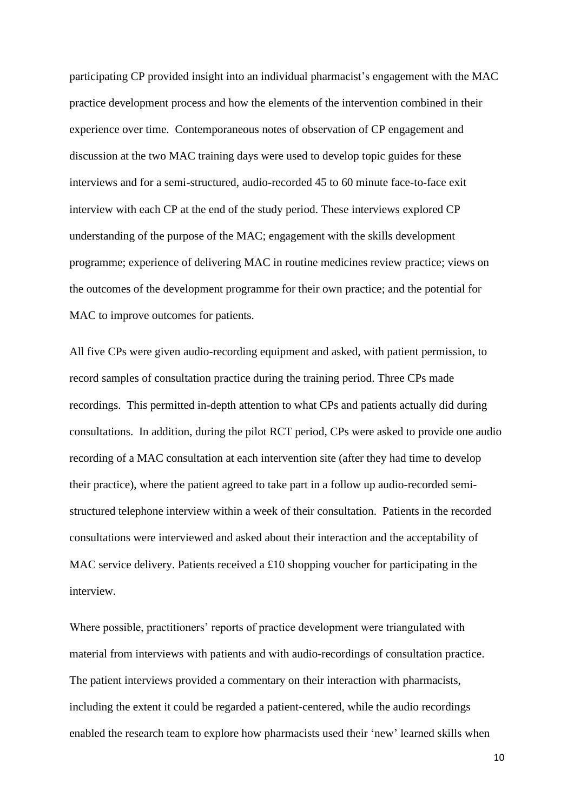participating CP provided insight into an individual pharmacist's engagement with the MAC practice development process and how the elements of the intervention combined in their experience over time. Contemporaneous notes of observation of CP engagement and discussion at the two MAC training days were used to develop topic guides for these interviews and for a semi-structured, audio-recorded 45 to 60 minute face-to-face exit interview with each CP at the end of the study period. These interviews explored CP understanding of the purpose of the MAC; engagement with the skills development programme; experience of delivering MAC in routine medicines review practice; views on the outcomes of the development programme for their own practice; and the potential for MAC to improve outcomes for patients.

All five CPs were given audio-recording equipment and asked, with patient permission, to record samples of consultation practice during the training period. Three CPs made recordings. This permitted in-depth attention to what CPs and patients actually did during consultations. In addition, during the pilot RCT period, CPs were asked to provide one audio recording of a MAC consultation at each intervention site (after they had time to develop their practice), where the patient agreed to take part in a follow up audio-recorded semistructured telephone interview within a week of their consultation. Patients in the recorded consultations were interviewed and asked about their interaction and the acceptability of MAC service delivery. Patients received a £10 shopping voucher for participating in the interview.

Where possible, practitioners' reports of practice development were triangulated with material from interviews with patients and with audio-recordings of consultation practice. The patient interviews provided a commentary on their interaction with pharmacists, including the extent it could be regarded a patient-centered, while the audio recordings enabled the research team to explore how pharmacists used their 'new' learned skills when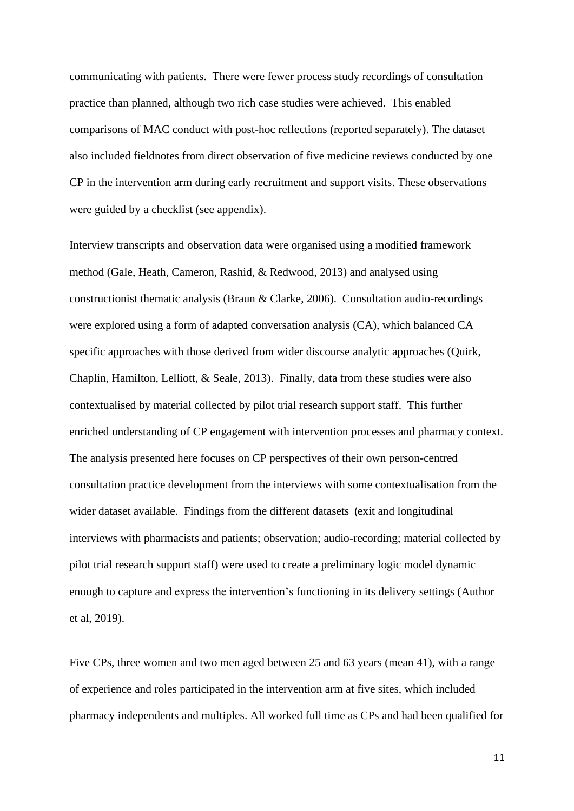communicating with patients. There were fewer process study recordings of consultation practice than planned, although two rich case studies were achieved. This enabled comparisons of MAC conduct with post-hoc reflections (reported separately). The dataset also included fieldnotes from direct observation of five medicine reviews conducted by one CP in the intervention arm during early recruitment and support visits. These observations were guided by a checklist (see appendix).

Interview transcripts and observation data were organised using a modified framework method (Gale, Heath, Cameron, Rashid, & Redwood, 2013) and analysed using constructionist thematic analysis (Braun & Clarke, 2006). Consultation audio-recordings were explored using a form of adapted conversation analysis (CA), which balanced CA specific approaches with those derived from wider discourse analytic approaches (Quirk, Chaplin, Hamilton, Lelliott, & Seale, 2013). Finally, data from these studies were also contextualised by material collected by pilot trial research support staff. This further enriched understanding of CP engagement with intervention processes and pharmacy context. The analysis presented here focuses on CP perspectives of their own person-centred consultation practice development from the interviews with some contextualisation from the wider dataset available. Findings from the different datasets (exit and longitudinal interviews with pharmacists and patients; observation; audio-recording; material collected by pilot trial research support staff) were used to create a preliminary logic model dynamic enough to capture and express the intervention's functioning in its delivery settings (Author et al, 2019).

Five CPs, three women and two men aged between 25 and 63 years (mean 41), with a range of experience and roles participated in the intervention arm at five sites, which included pharmacy independents and multiples. All worked full time as CPs and had been qualified for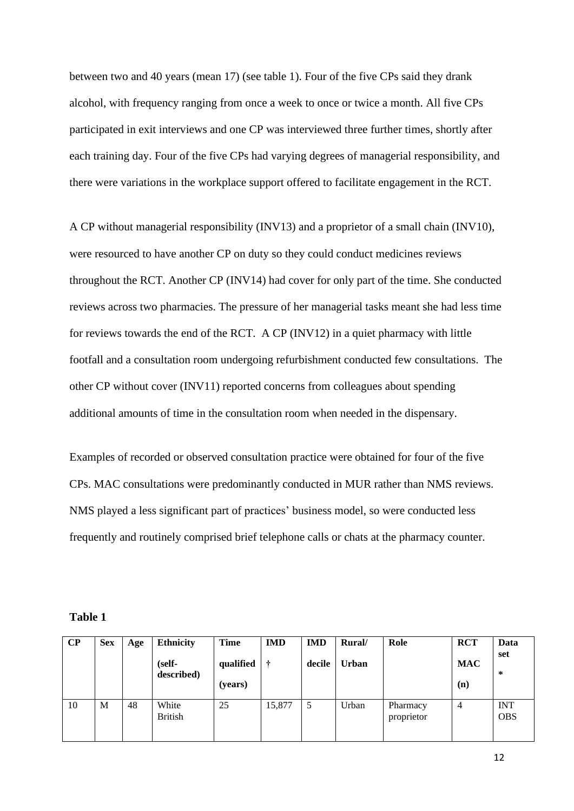between two and 40 years (mean 17) (see table 1). Four of the five CPs said they drank alcohol, with frequency ranging from once a week to once or twice a month. All five CPs participated in exit interviews and one CP was interviewed three further times, shortly after each training day. Four of the five CPs had varying degrees of managerial responsibility, and there were variations in the workplace support offered to facilitate engagement in the RCT.

A CP without managerial responsibility (INV13) and a proprietor of a small chain (INV10), were resourced to have another CP on duty so they could conduct medicines reviews throughout the RCT. Another CP (INV14) had cover for only part of the time. She conducted reviews across two pharmacies. The pressure of her managerial tasks meant she had less time for reviews towards the end of the RCT. A CP (INV12) in a quiet pharmacy with little footfall and a consultation room undergoing refurbishment conducted few consultations. The other CP without cover (INV11) reported concerns from colleagues about spending additional amounts of time in the consultation room when needed in the dispensary.

Examples of recorded or observed consultation practice were obtained for four of the five CPs. MAC consultations were predominantly conducted in MUR rather than NMS reviews. NMS played a less significant part of practices' business model, so were conducted less frequently and routinely comprised brief telephone calls or chats at the pharmacy counter.

| ш<br>. . |  |
|----------|--|
|          |  |

| $\bf CP$ | <b>Sex</b> | Age | <b>Ethnicity</b><br>(self-<br>described) | <b>Time</b><br>qualified<br>(years) | <b>IMD</b><br>÷ | <b>IMD</b><br>decile | Rural/<br><b>Urban</b> | Role                   | <b>RCT</b><br><b>MAC</b><br>(n) | Data<br>set<br>∗         |
|----------|------------|-----|------------------------------------------|-------------------------------------|-----------------|----------------------|------------------------|------------------------|---------------------------------|--------------------------|
| 10       | М          | 48  | White<br><b>British</b>                  | 25                                  | 15,877          | 5                    | Urban                  | Pharmacy<br>proprietor | 4                               | <b>INT</b><br><b>OBS</b> |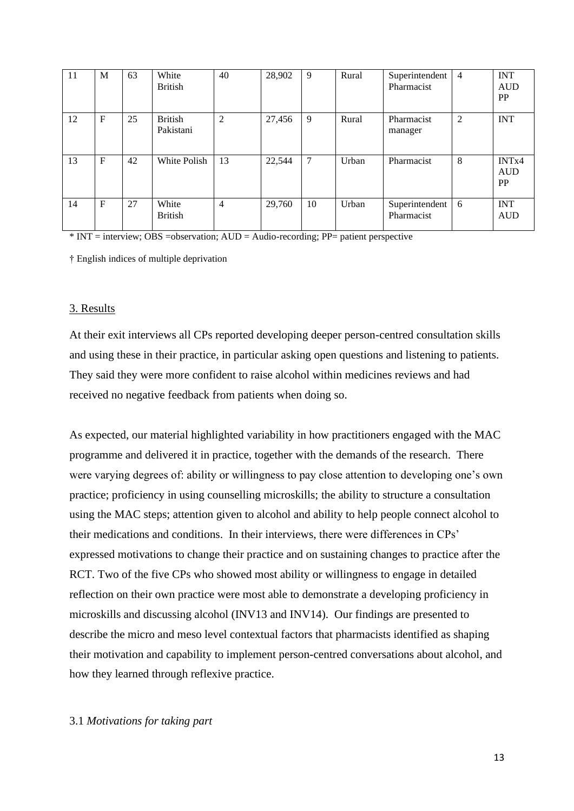| 11 | M            | 63 | White<br><b>British</b>     | 40             | 28,902 | 9  | Rural | Superintendent<br>Pharmacist | $\overline{4}$ | <b>INT</b><br><b>AUD</b><br>PP               |
|----|--------------|----|-----------------------------|----------------|--------|----|-------|------------------------------|----------------|----------------------------------------------|
| 12 | $\mathbf{F}$ | 25 | <b>British</b><br>Pakistani | $\overline{c}$ | 27,456 | 9  | Rural | Pharmacist<br>manager        | $\overline{2}$ | <b>INT</b>                                   |
| 13 | F            | 42 | White Polish                | 13             | 22,544 | 7  | Urban | Pharmacist                   | 8              | INT <sub>x4</sub><br><b>AUD</b><br><b>PP</b> |
| 14 | $\mathbf{F}$ | 27 | White<br><b>British</b>     | $\overline{4}$ | 29,760 | 10 | Urban | Superintendent<br>Pharmacist | 6              | <b>INT</b><br><b>AUD</b>                     |

\* INT = interview; OBS =observation; AUD = Audio-recording; PP= patient perspective

† English indices of multiple deprivation

# 3. Results

At their exit interviews all CPs reported developing deeper person-centred consultation skills and using these in their practice, in particular asking open questions and listening to patients. They said they were more confident to raise alcohol within medicines reviews and had received no negative feedback from patients when doing so.

As expected, our material highlighted variability in how practitioners engaged with the MAC programme and delivered it in practice, together with the demands of the research. There were varying degrees of: ability or willingness to pay close attention to developing one's own practice; proficiency in using counselling microskills; the ability to structure a consultation using the MAC steps; attention given to alcohol and ability to help people connect alcohol to their medications and conditions. In their interviews, there were differences in CPs' expressed motivations to change their practice and on sustaining changes to practice after the RCT. Two of the five CPs who showed most ability or willingness to engage in detailed reflection on their own practice were most able to demonstrate a developing proficiency in microskills and discussing alcohol (INV13 and INV14). Our findings are presented to describe the micro and meso level contextual factors that pharmacists identified as shaping their motivation and capability to implement person-centred conversations about alcohol, and how they learned through reflexive practice.

# 3.1 *Motivations for taking part*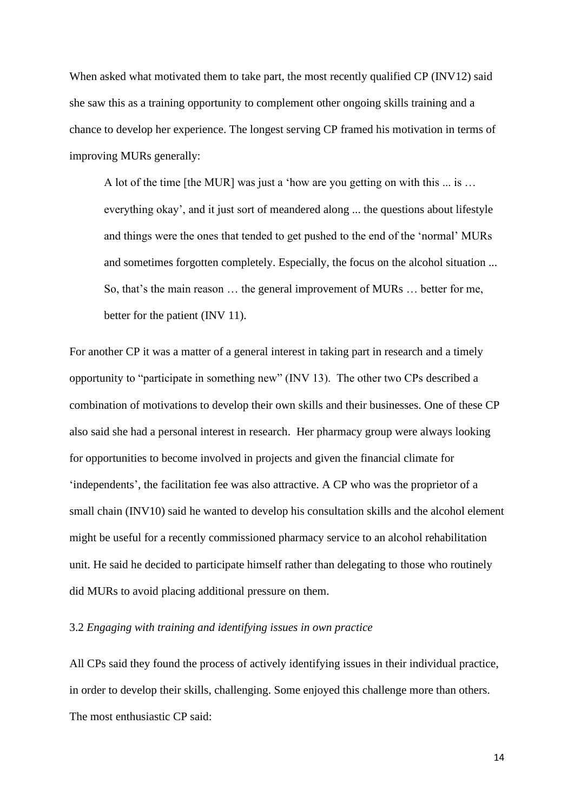When asked what motivated them to take part, the most recently qualified CP (INV12) said she saw this as a training opportunity to complement other ongoing skills training and a chance to develop her experience. The longest serving CP framed his motivation in terms of improving MURs generally:

A lot of the time [the MUR] was just a 'how are you getting on with this ... is … everything okay', and it just sort of meandered along ... the questions about lifestyle and things were the ones that tended to get pushed to the end of the 'normal' MURs and sometimes forgotten completely. Especially, the focus on the alcohol situation ... So, that's the main reason … the general improvement of MURs … better for me, better for the patient (INV 11).

For another CP it was a matter of a general interest in taking part in research and a timely opportunity to "participate in something new" (INV 13). The other two CPs described a combination of motivations to develop their own skills and their businesses. One of these CP also said she had a personal interest in research. Her pharmacy group were always looking for opportunities to become involved in projects and given the financial climate for 'independents', the facilitation fee was also attractive. A CP who was the proprietor of a small chain (INV10) said he wanted to develop his consultation skills and the alcohol element might be useful for a recently commissioned pharmacy service to an alcohol rehabilitation unit. He said he decided to participate himself rather than delegating to those who routinely did MURs to avoid placing additional pressure on them.

# 3.2 *Engaging with training and identifying issues in own practice*

All CPs said they found the process of actively identifying issues in their individual practice, in order to develop their skills, challenging. Some enjoyed this challenge more than others. The most enthusiastic CP said: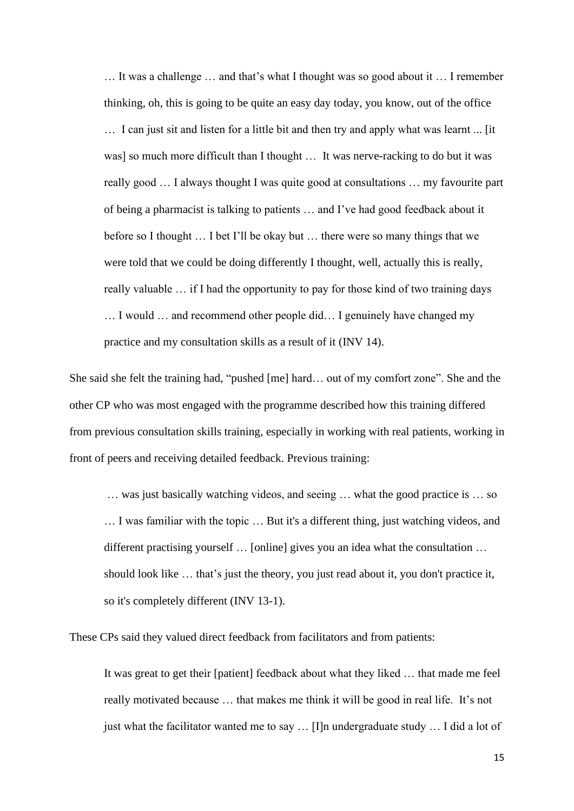… It was a challenge … and that's what I thought was so good about it … I remember thinking, oh, this is going to be quite an easy day today, you know, out of the office … I can just sit and listen for a little bit and then try and apply what was learnt ... [it was] so much more difficult than I thought … It was nerve-racking to do but it was really good … I always thought I was quite good at consultations … my favourite part of being a pharmacist is talking to patients … and I've had good feedback about it before so I thought … I bet I'll be okay but … there were so many things that we were told that we could be doing differently I thought, well, actually this is really, really valuable … if I had the opportunity to pay for those kind of two training days … I would … and recommend other people did… I genuinely have changed my practice and my consultation skills as a result of it (INV 14).

She said she felt the training had, "pushed [me] hard… out of my comfort zone". She and the other CP who was most engaged with the programme described how this training differed from previous consultation skills training, especially in working with real patients, working in front of peers and receiving detailed feedback. Previous training:

… was just basically watching videos, and seeing … what the good practice is … so … I was familiar with the topic … But it's a different thing, just watching videos, and different practising yourself … [online] gives you an idea what the consultation … should look like … that's just the theory, you just read about it, you don't practice it, so it's completely different (INV 13-1).

These CPs said they valued direct feedback from facilitators and from patients:

It was great to get their [patient] feedback about what they liked … that made me feel really motivated because … that makes me think it will be good in real life. It's not just what the facilitator wanted me to say ... [I]n undergraduate study ... I did a lot of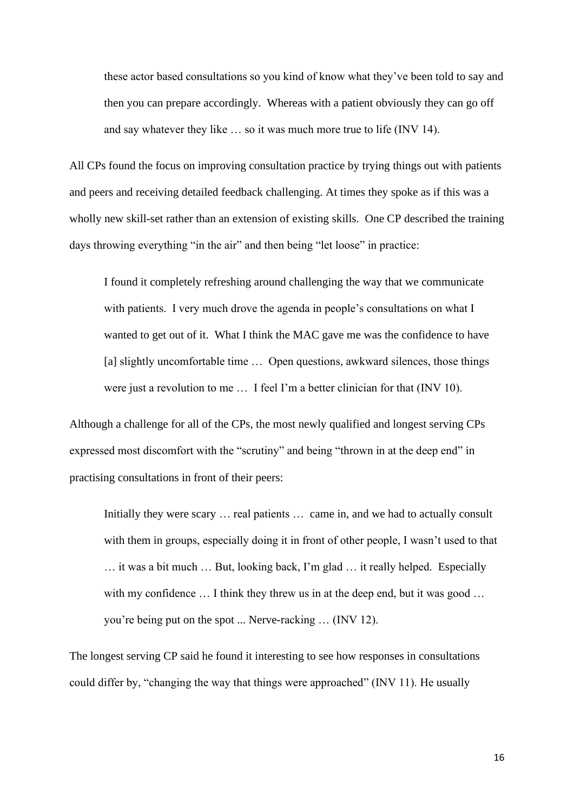these actor based consultations so you kind of know what they've been told to say and then you can prepare accordingly. Whereas with a patient obviously they can go off and say whatever they like … so it was much more true to life (INV 14).

All CPs found the focus on improving consultation practice by trying things out with patients and peers and receiving detailed feedback challenging. At times they spoke as if this was a wholly new skill-set rather than an extension of existing skills. One CP described the training days throwing everything "in the air" and then being "let loose" in practice:

I found it completely refreshing around challenging the way that we communicate with patients. I very much drove the agenda in people's consultations on what I wanted to get out of it. What I think the MAC gave me was the confidence to have [a] slightly uncomfortable time ... Open questions, awkward silences, those things were just a revolution to me … I feel I'm a better clinician for that (INV 10).

Although a challenge for all of the CPs, the most newly qualified and longest serving CPs expressed most discomfort with the "scrutiny" and being "thrown in at the deep end" in practising consultations in front of their peers:

Initially they were scary ... real patients ... came in, and we had to actually consult with them in groups, especially doing it in front of other people, I wasn't used to that … it was a bit much … But, looking back, I'm glad … it really helped. Especially with my confidence ... I think they threw us in at the deep end, but it was good ... you're being put on the spot ... Nerve-racking … (INV 12).

The longest serving CP said he found it interesting to see how responses in consultations could differ by, "changing the way that things were approached" (INV 11). He usually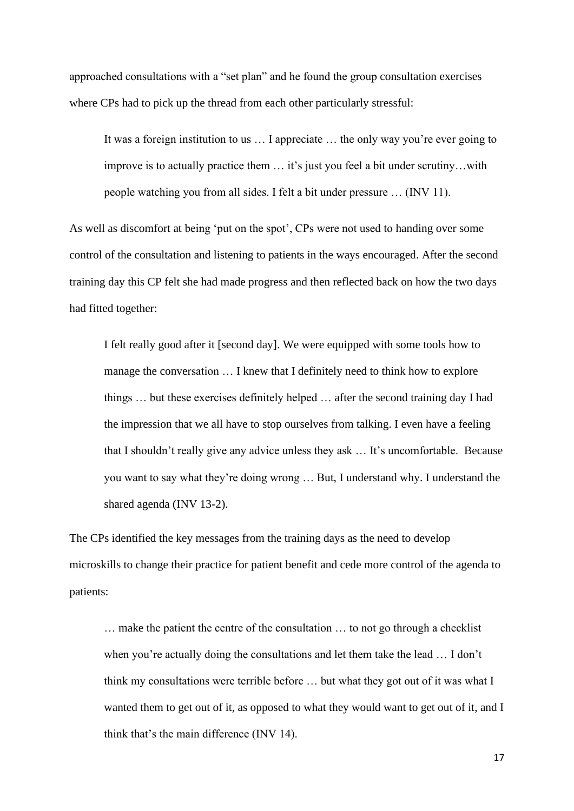approached consultations with a "set plan" and he found the group consultation exercises where CPs had to pick up the thread from each other particularly stressful:

It was a foreign institution to us … I appreciate … the only way you're ever going to improve is to actually practice them … it's just you feel a bit under scrutiny…with people watching you from all sides. I felt a bit under pressure … (INV 11).

As well as discomfort at being 'put on the spot', CPs were not used to handing over some control of the consultation and listening to patients in the ways encouraged. After the second training day this CP felt she had made progress and then reflected back on how the two days had fitted together:

I felt really good after it [second day]. We were equipped with some tools how to manage the conversation … I knew that I definitely need to think how to explore things … but these exercises definitely helped … after the second training day I had the impression that we all have to stop ourselves from talking. I even have a feeling that I shouldn't really give any advice unless they ask … It's uncomfortable. Because you want to say what they're doing wrong … But, I understand why. I understand the shared agenda (INV 13-2).

The CPs identified the key messages from the training days as the need to develop microskills to change their practice for patient benefit and cede more control of the agenda to patients:

… make the patient the centre of the consultation … to not go through a checklist when you're actually doing the consultations and let them take the lead … I don't think my consultations were terrible before … but what they got out of it was what I wanted them to get out of it, as opposed to what they would want to get out of it, and I think that's the main difference (INV 14).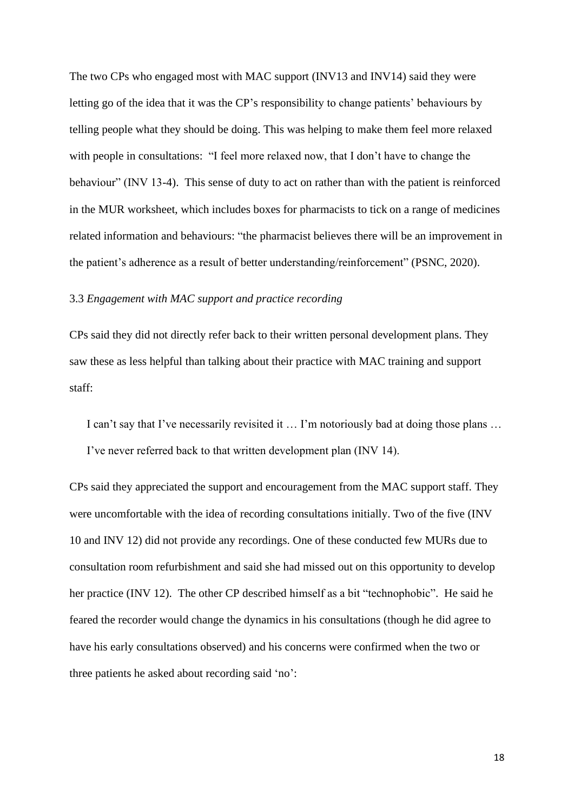The two CPs who engaged most with MAC support (INV13 and INV14) said they were letting go of the idea that it was the CP's responsibility to change patients' behaviours by telling people what they should be doing. This was helping to make them feel more relaxed with people in consultations: "I feel more relaxed now, that I don't have to change the behaviour" (INV 13-4). This sense of duty to act on rather than with the patient is reinforced in the MUR worksheet, which includes boxes for pharmacists to tick on a range of medicines related information and behaviours: "the pharmacist believes there will be an improvement in the patient's adherence as a result of better understanding/reinforcement" (PSNC, 2020).

# 3.3 *Engagement with MAC support and practice recording*

CPs said they did not directly refer back to their written personal development plans. They saw these as less helpful than talking about their practice with MAC training and support staff:

I can't say that I've necessarily revisited it … I'm notoriously bad at doing those plans … I've never referred back to that written development plan (INV 14).

CPs said they appreciated the support and encouragement from the MAC support staff. They were uncomfortable with the idea of recording consultations initially. Two of the five (INV 10 and INV 12) did not provide any recordings. One of these conducted few MURs due to consultation room refurbishment and said she had missed out on this opportunity to develop her practice (INV 12). The other CP described himself as a bit "technophobic". He said he feared the recorder would change the dynamics in his consultations (though he did agree to have his early consultations observed) and his concerns were confirmed when the two or three patients he asked about recording said 'no':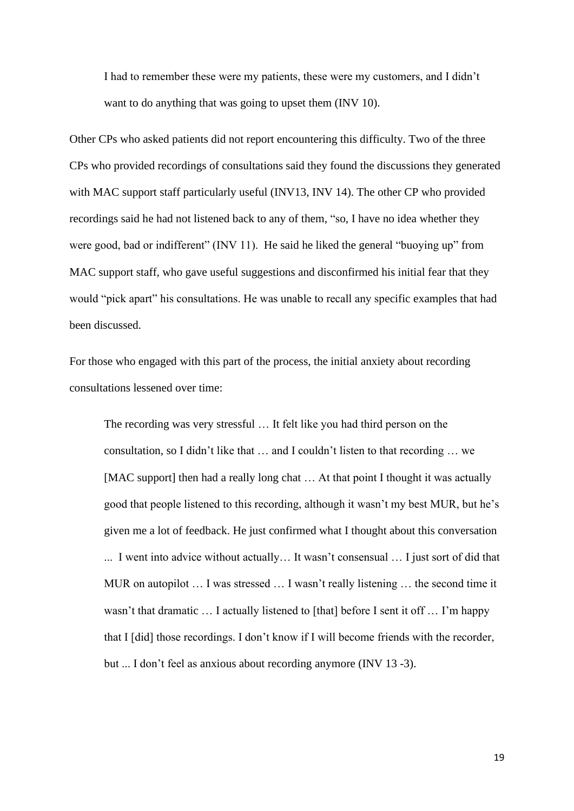I had to remember these were my patients, these were my customers, and I didn't want to do anything that was going to upset them (INV 10).

Other CPs who asked patients did not report encountering this difficulty. Two of the three CPs who provided recordings of consultations said they found the discussions they generated with MAC support staff particularly useful (INV13, INV 14). The other CP who provided recordings said he had not listened back to any of them, "so, I have no idea whether they were good, bad or indifferent" (INV 11). He said he liked the general "buoying up" from MAC support staff, who gave useful suggestions and disconfirmed his initial fear that they would "pick apart" his consultations. He was unable to recall any specific examples that had been discussed.

For those who engaged with this part of the process, the initial anxiety about recording consultations lessened over time:

The recording was very stressful … It felt like you had third person on the consultation, so I didn't like that … and I couldn't listen to that recording … we [MAC support] then had a really long chat … At that point I thought it was actually good that people listened to this recording, although it wasn't my best MUR, but he's given me a lot of feedback. He just confirmed what I thought about this conversation ... I went into advice without actually… It wasn't consensual … I just sort of did that MUR on autopilot … I was stressed … I wasn't really listening … the second time it wasn't that dramatic ... I actually listened to [that] before I sent it off ... I'm happy that I [did] those recordings. I don't know if I will become friends with the recorder, but ... I don't feel as anxious about recording anymore (INV 13 -3).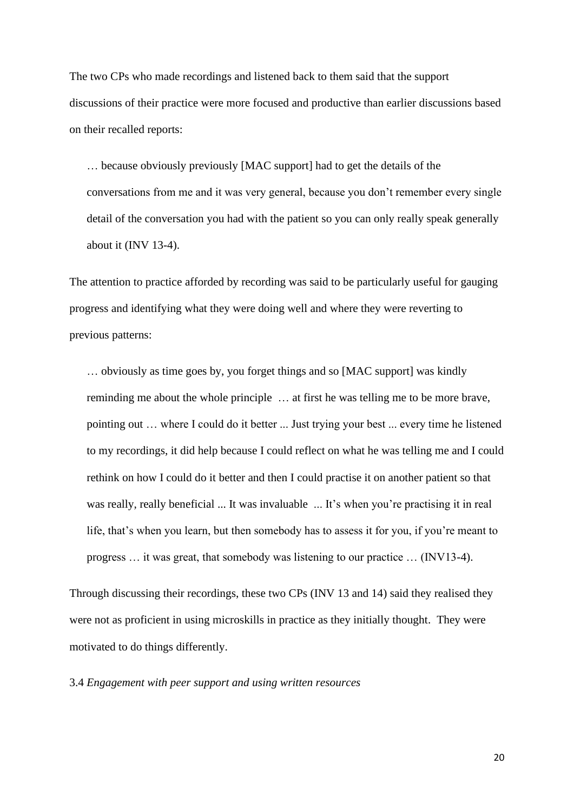The two CPs who made recordings and listened back to them said that the support discussions of their practice were more focused and productive than earlier discussions based on their recalled reports:

… because obviously previously [MAC support] had to get the details of the conversations from me and it was very general, because you don't remember every single detail of the conversation you had with the patient so you can only really speak generally about it (INV 13-4).

The attention to practice afforded by recording was said to be particularly useful for gauging progress and identifying what they were doing well and where they were reverting to previous patterns:

… obviously as time goes by, you forget things and so [MAC support] was kindly reminding me about the whole principle … at first he was telling me to be more brave, pointing out … where I could do it better ... Just trying your best ... every time he listened to my recordings, it did help because I could reflect on what he was telling me and I could rethink on how I could do it better and then I could practise it on another patient so that was really, really beneficial ... It was invaluable ... It's when you're practising it in real life, that's when you learn, but then somebody has to assess it for you, if you're meant to progress … it was great, that somebody was listening to our practice … (INV13-4).

Through discussing their recordings, these two CPs (INV 13 and 14) said they realised they were not as proficient in using microskills in practice as they initially thought. They were motivated to do things differently.

3.4 *Engagement with peer support and using written resources*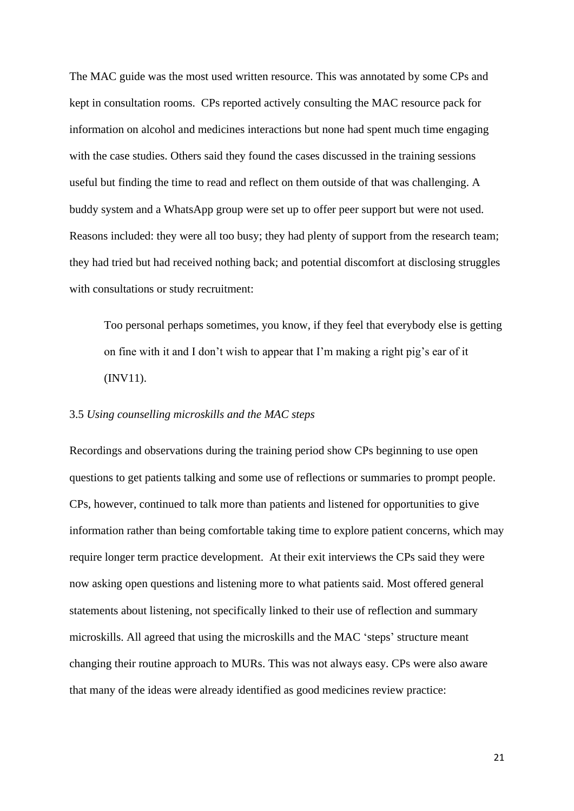The MAC guide was the most used written resource. This was annotated by some CPs and kept in consultation rooms. CPs reported actively consulting the MAC resource pack for information on alcohol and medicines interactions but none had spent much time engaging with the case studies. Others said they found the cases discussed in the training sessions useful but finding the time to read and reflect on them outside of that was challenging. A buddy system and a WhatsApp group were set up to offer peer support but were not used. Reasons included: they were all too busy; they had plenty of support from the research team; they had tried but had received nothing back; and potential discomfort at disclosing struggles with consultations or study recruitment:

Too personal perhaps sometimes, you know, if they feel that everybody else is getting on fine with it and I don't wish to appear that I'm making a right pig's ear of it (INV11).

# 3.5 *Using counselling microskills and the MAC steps*

Recordings and observations during the training period show CPs beginning to use open questions to get patients talking and some use of reflections or summaries to prompt people. CPs, however, continued to talk more than patients and listened for opportunities to give information rather than being comfortable taking time to explore patient concerns, which may require longer term practice development. At their exit interviews the CPs said they were now asking open questions and listening more to what patients said. Most offered general statements about listening, not specifically linked to their use of reflection and summary microskills. All agreed that using the microskills and the MAC 'steps' structure meant changing their routine approach to MURs. This was not always easy. CPs were also aware that many of the ideas were already identified as good medicines review practice: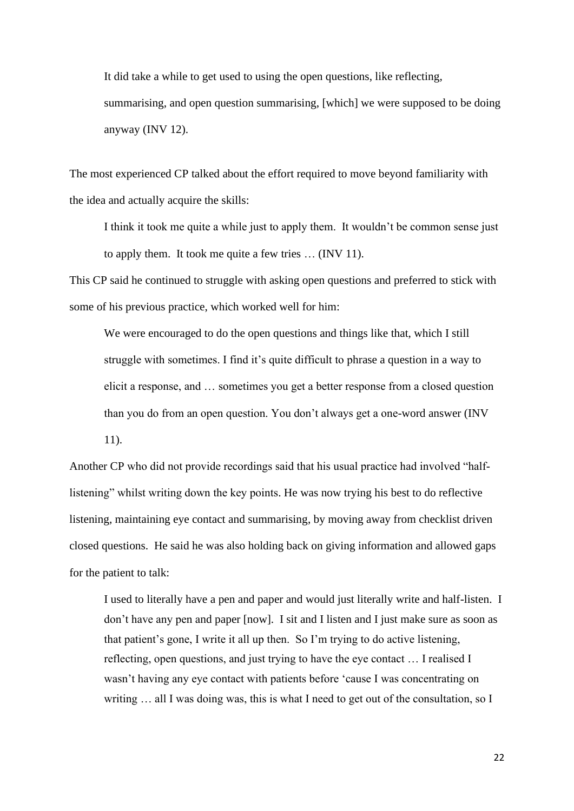It did take a while to get used to using the open questions, like reflecting, summarising, and open question summarising, [which] we were supposed to be doing anyway (INV 12).

The most experienced CP talked about the effort required to move beyond familiarity with the idea and actually acquire the skills:

I think it took me quite a while just to apply them. It wouldn't be common sense just to apply them. It took me quite a few tries … (INV 11).

This CP said he continued to struggle with asking open questions and preferred to stick with some of his previous practice, which worked well for him:

We were encouraged to do the open questions and things like that, which I still struggle with sometimes. I find it's quite difficult to phrase a question in a way to elicit a response, and … sometimes you get a better response from a closed question than you do from an open question. You don't always get a one-word answer (INV 11).

Another CP who did not provide recordings said that his usual practice had involved "halflistening" whilst writing down the key points. He was now trying his best to do reflective listening, maintaining eye contact and summarising, by moving away from checklist driven closed questions. He said he was also holding back on giving information and allowed gaps for the patient to talk:

I used to literally have a pen and paper and would just literally write and half-listen. I don't have any pen and paper [now]. I sit and I listen and I just make sure as soon as that patient's gone, I write it all up then. So I'm trying to do active listening, reflecting, open questions, and just trying to have the eye contact … I realised I wasn't having any eye contact with patients before 'cause I was concentrating on writing … all I was doing was, this is what I need to get out of the consultation, so I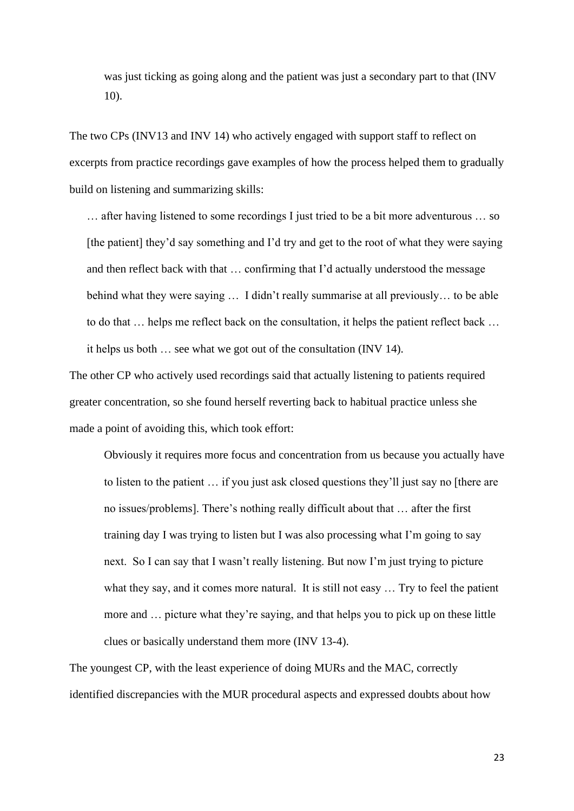was just ticking as going along and the patient was just a secondary part to that (INV 10).

The two CPs (INV13 and INV 14) who actively engaged with support staff to reflect on excerpts from practice recordings gave examples of how the process helped them to gradually build on listening and summarizing skills:

… after having listened to some recordings I just tried to be a bit more adventurous … so [the patient] they'd say something and I'd try and get to the root of what they were saying and then reflect back with that … confirming that I'd actually understood the message behind what they were saying … I didn't really summarise at all previously… to be able to do that … helps me reflect back on the consultation, it helps the patient reflect back … it helps us both … see what we got out of the consultation (INV 14).

The other CP who actively used recordings said that actually listening to patients required greater concentration, so she found herself reverting back to habitual practice unless she made a point of avoiding this, which took effort:

Obviously it requires more focus and concentration from us because you actually have to listen to the patient … if you just ask closed questions they'll just say no [there are no issues/problems]. There's nothing really difficult about that … after the first training day I was trying to listen but I was also processing what I'm going to say next. So I can say that I wasn't really listening. But now I'm just trying to picture what they say, and it comes more natural. It is still not easy ... Try to feel the patient more and … picture what they're saying, and that helps you to pick up on these little clues or basically understand them more (INV 13-4).

The youngest CP, with the least experience of doing MURs and the MAC, correctly identified discrepancies with the MUR procedural aspects and expressed doubts about how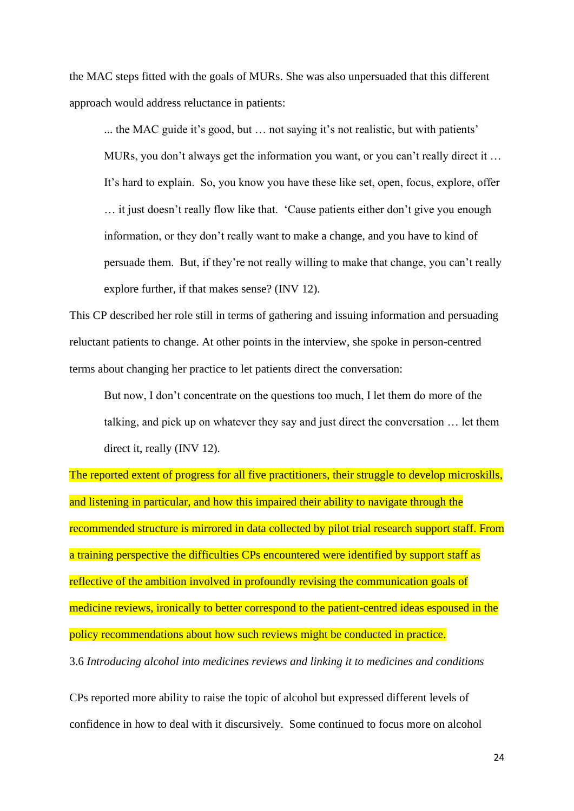the MAC steps fitted with the goals of MURs. She was also unpersuaded that this different approach would address reluctance in patients:

... the MAC guide it's good, but … not saying it's not realistic, but with patients' MURs, you don't always get the information you want, or you can't really direct it … It's hard to explain. So, you know you have these like set, open, focus, explore, offer … it just doesn't really flow like that. 'Cause patients either don't give you enough information, or they don't really want to make a change, and you have to kind of persuade them. But, if they're not really willing to make that change, you can't really explore further, if that makes sense? (INV 12).

This CP described her role still in terms of gathering and issuing information and persuading reluctant patients to change. At other points in the interview, she spoke in person-centred terms about changing her practice to let patients direct the conversation:

But now, I don't concentrate on the questions too much, I let them do more of the talking, and pick up on whatever they say and just direct the conversation … let them direct it, really (INV 12).

The reported extent of progress for all five practitioners, their struggle to develop microskills, and listening in particular, and how this impaired their ability to navigate through the recommended structure is mirrored in data collected by pilot trial research support staff. From a training perspective the difficulties CPs encountered were identified by support staff as reflective of the ambition involved in profoundly revising the communication goals of medicine reviews, ironically to better correspond to the patient-centred ideas espoused in the policy recommendations about how such reviews might be conducted in practice. 3.6 *Introducing alcohol into medicines reviews and linking it to medicines and conditions*

CPs reported more ability to raise the topic of alcohol but expressed different levels of confidence in how to deal with it discursively. Some continued to focus more on alcohol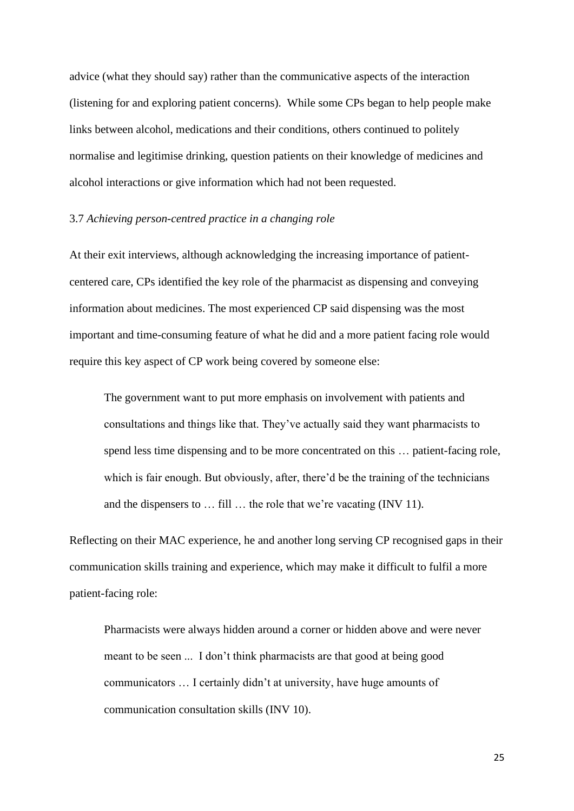advice (what they should say) rather than the communicative aspects of the interaction (listening for and exploring patient concerns). While some CPs began to help people make links between alcohol, medications and their conditions, others continued to politely normalise and legitimise drinking, question patients on their knowledge of medicines and alcohol interactions or give information which had not been requested.

## 3.7 *Achieving person-centred practice in a changing role*

At their exit interviews, although acknowledging the increasing importance of patientcentered care, CPs identified the key role of the pharmacist as dispensing and conveying information about medicines. The most experienced CP said dispensing was the most important and time-consuming feature of what he did and a more patient facing role would require this key aspect of CP work being covered by someone else:

The government want to put more emphasis on involvement with patients and consultations and things like that. They've actually said they want pharmacists to spend less time dispensing and to be more concentrated on this … patient-facing role, which is fair enough. But obviously, after, there'd be the training of the technicians and the dispensers to … fill … the role that we're vacating (INV 11).

Reflecting on their MAC experience, he and another long serving CP recognised gaps in their communication skills training and experience, which may make it difficult to fulfil a more patient-facing role:

Pharmacists were always hidden around a corner or hidden above and were never meant to be seen ... I don't think pharmacists are that good at being good communicators … I certainly didn't at university, have huge amounts of communication consultation skills (INV 10).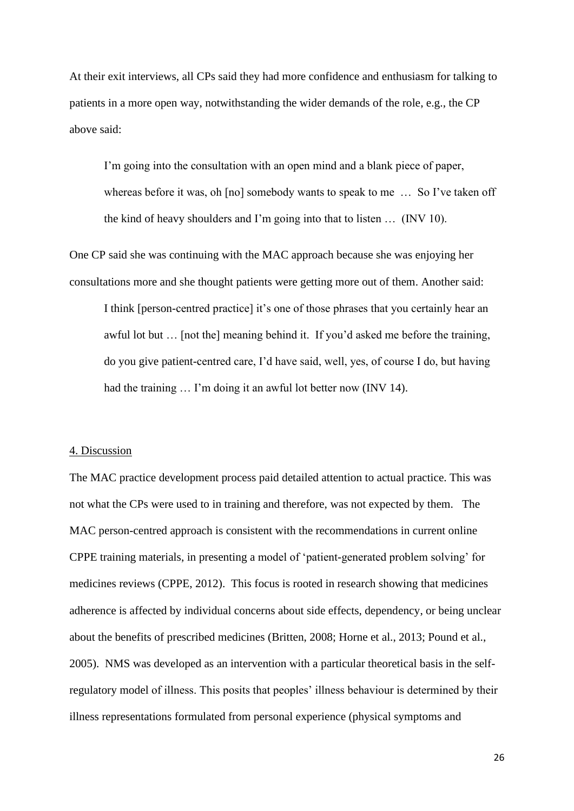At their exit interviews, all CPs said they had more confidence and enthusiasm for talking to patients in a more open way, notwithstanding the wider demands of the role, e.g., the CP above said:

I'm going into the consultation with an open mind and a blank piece of paper, whereas before it was, oh [no] somebody wants to speak to me ... So I've taken off the kind of heavy shoulders and I'm going into that to listen … (INV 10).

One CP said she was continuing with the MAC approach because she was enjoying her consultations more and she thought patients were getting more out of them. Another said:

I think [person-centred practice] it's one of those phrases that you certainly hear an awful lot but … [not the] meaning behind it. If you'd asked me before the training, do you give patient-centred care, I'd have said, well, yes, of course I do, but having had the training ... I'm doing it an awful lot better now (INV 14).

# 4. Discussion

The MAC practice development process paid detailed attention to actual practice. This was not what the CPs were used to in training and therefore, was not expected by them. The MAC person-centred approach is consistent with the recommendations in current online CPPE training materials, in presenting a model of 'patient-generated problem solving' for medicines reviews (CPPE, 2012). This focus is rooted in research showing that medicines adherence is affected by individual concerns about side effects, dependency, or being unclear about the benefits of prescribed medicines (Britten, 2008; Horne et al., 2013; Pound et al., 2005). NMS was developed as an intervention with a particular theoretical basis in the selfregulatory model of illness. This posits that peoples' illness behaviour is determined by their illness representations formulated from personal experience (physical symptoms and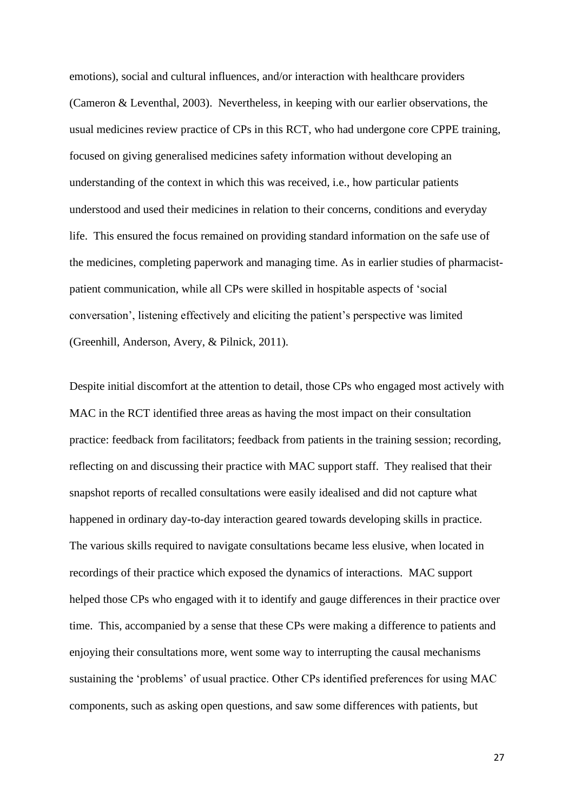emotions), social and cultural influences, and/or interaction with healthcare providers (Cameron & Leventhal, 2003). Nevertheless, in keeping with our earlier observations, the usual medicines review practice of CPs in this RCT, who had undergone core CPPE training, focused on giving generalised medicines safety information without developing an understanding of the context in which this was received, i.e., how particular patients understood and used their medicines in relation to their concerns, conditions and everyday life. This ensured the focus remained on providing standard information on the safe use of the medicines, completing paperwork and managing time. As in earlier studies of pharmacistpatient communication, while all CPs were skilled in hospitable aspects of 'social conversation', listening effectively and eliciting the patient's perspective was limited (Greenhill, Anderson, Avery, & Pilnick, 2011).

Despite initial discomfort at the attention to detail, those CPs who engaged most actively with MAC in the RCT identified three areas as having the most impact on their consultation practice: feedback from facilitators; feedback from patients in the training session; recording, reflecting on and discussing their practice with MAC support staff. They realised that their snapshot reports of recalled consultations were easily idealised and did not capture what happened in ordinary day-to-day interaction geared towards developing skills in practice. The various skills required to navigate consultations became less elusive, when located in recordings of their practice which exposed the dynamics of interactions. MAC support helped those CPs who engaged with it to identify and gauge differences in their practice over time. This, accompanied by a sense that these CPs were making a difference to patients and enjoying their consultations more, went some way to interrupting the causal mechanisms sustaining the 'problems' of usual practice. Other CPs identified preferences for using MAC components, such as asking open questions, and saw some differences with patients, but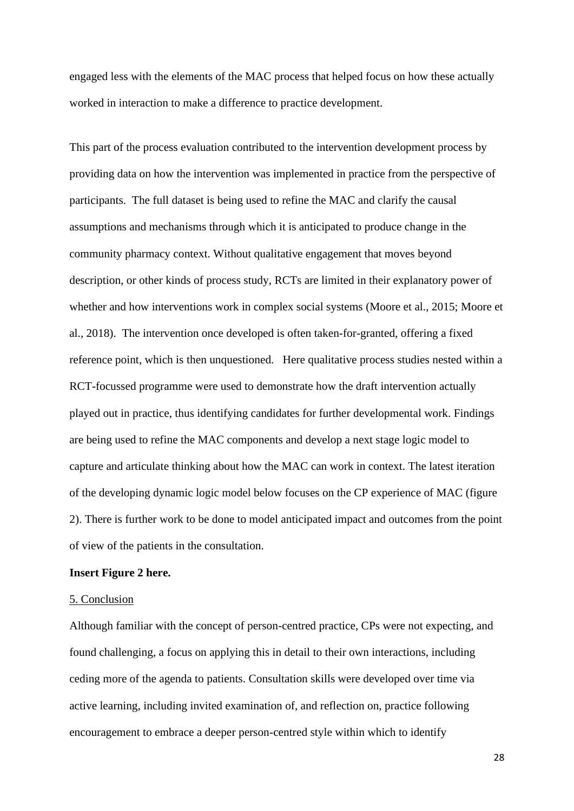engaged less with the elements of the MAC process that helped focus on how these actually worked in interaction to make a difference to practice development.

This part of the process evaluation contributed to the intervention development process by providing data on how the intervention was implemented in practice from the perspective of participants. The full dataset is being used to refine the MAC and clarify the causal assumptions and mechanisms through which it is anticipated to produce change in the community pharmacy context. Without qualitative engagement that moves beyond description, or other kinds of process study, RCTs are limited in their explanatory power of whether and how interventions work in complex social systems (Moore et al., 2015; Moore et al., 2018). The intervention once developed is often taken-for-granted, offering a fixed reference point, which is then unquestioned. Here qualitative process studies nested within a RCT-focussed programme were used to demonstrate how the draft intervention actually played out in practice, thus identifying candidates for further developmental work. Findings are being used to refine the MAC components and develop a next stage logic model to capture and articulate thinking about how the MAC can work in context. The latest iteration of the developing dynamic logic model below focuses on the CP experience of MAC (figure 2). There is further work to be done to model anticipated impact and outcomes from the point of view of the patients in the consultation.

### **Insert Figure 2 here.**

#### 5. Conclusion

Although familiar with the concept of person-centred practice, CPs were not expecting, and found challenging, a focus on applying this in detail to their own interactions, including ceding more of the agenda to patients. Consultation skills were developed over time via active learning, including invited examination of, and reflection on, practice following encouragement to embrace a deeper person-centred style within which to identify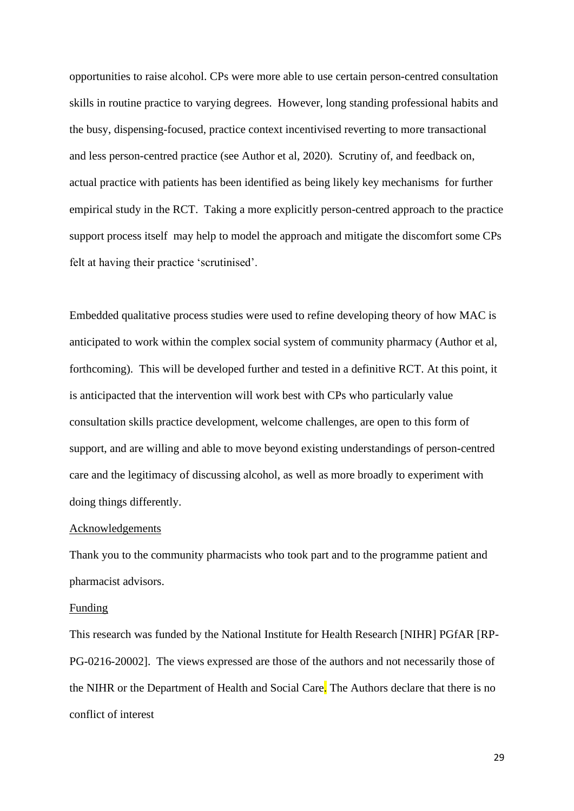opportunities to raise alcohol. CPs were more able to use certain person-centred consultation skills in routine practice to varying degrees. However, long standing professional habits and the busy, dispensing-focused, practice context incentivised reverting to more transactional and less person-centred practice (see Author et al, 2020). Scrutiny of, and feedback on, actual practice with patients has been identified as being likely key mechanisms for further empirical study in the RCT. Taking a more explicitly person-centred approach to the practice support process itself may help to model the approach and mitigate the discomfort some CPs felt at having their practice 'scrutinised'.

Embedded qualitative process studies were used to refine developing theory of how MAC is anticipated to work within the complex social system of community pharmacy (Author et al, forthcoming). This will be developed further and tested in a definitive RCT. At this point, it is anticipacted that the intervention will work best with CPs who particularly value consultation skills practice development, welcome challenges, are open to this form of support, and are willing and able to move beyond existing understandings of person-centred care and the legitimacy of discussing alcohol, as well as more broadly to experiment with doing things differently.

# Acknowledgements

Thank you to the community pharmacists who took part and to the programme patient and pharmacist advisors.

#### Funding

This research was funded by the National Institute for Health Research [NIHR] PGfAR [RP-PG-0216-20002]. The views expressed are those of the authors and not necessarily those of the NIHR or the Department of Health and Social Care. The Authors declare that there is no conflict of interest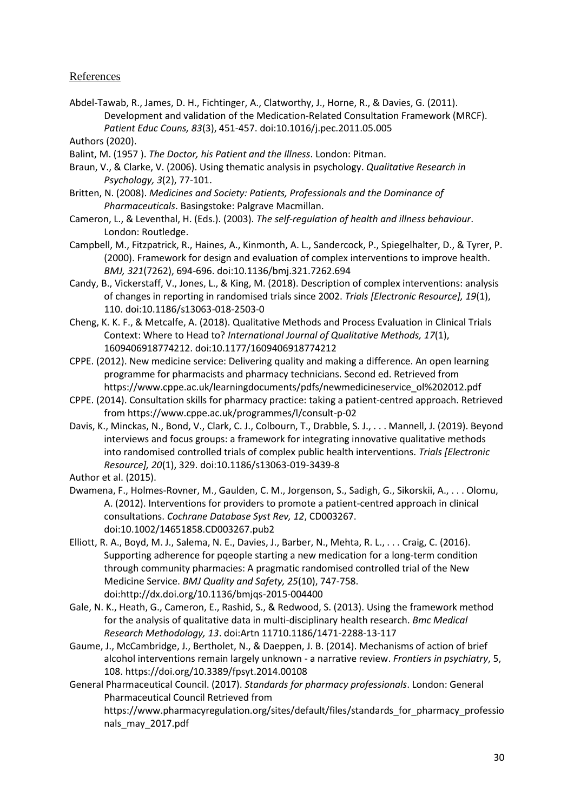# **References**

Abdel-Tawab, R., James, D. H., Fichtinger, A., Clatworthy, J., Horne, R., & Davies, G. (2011). Development and validation of the Medication-Related Consultation Framework (MRCF). *Patient Educ Couns, 83*(3), 451-457. doi:10.1016/j.pec.2011.05.005

Authors (2020).

- Balint, M. (1957 ). *The Doctor, his Patient and the Illness*. London: Pitman.
- Braun, V., & Clarke, V. (2006). Using thematic analysis in psychology. *Qualitative Research in Psychology, 3*(2), 77-101.
- Britten, N. (2008). *Medicines and Society: Patients, Professionals and the Dominance of Pharmaceuticals*. Basingstoke: Palgrave Macmillan.
- Cameron, L., & Leventhal, H. (Eds.). (2003). *The self-regulation of health and illness behaviour*. London: Routledge.
- Campbell, M., Fitzpatrick, R., Haines, A., Kinmonth, A. L., Sandercock, P., Spiegelhalter, D., & Tyrer, P. (2000). Framework for design and evaluation of complex interventions to improve health. *BMJ, 321*(7262), 694-696. doi:10.1136/bmj.321.7262.694
- Candy, B., Vickerstaff, V., Jones, L., & King, M. (2018). Description of complex interventions: analysis of changes in reporting in randomised trials since 2002. *Trials [Electronic Resource], 19*(1), 110. doi:10.1186/s13063-018-2503-0
- Cheng, K. K. F., & Metcalfe, A. (2018). Qualitative Methods and Process Evaluation in Clinical Trials Context: Where to Head to? *International Journal of Qualitative Methods, 17*(1), 1609406918774212. doi:10.1177/1609406918774212
- CPPE. (2012). New medicine service: Delivering quality and making a difference. An open learning programme for pharmacists and pharmacy technicians. Second ed. Retrieved from https://www.cppe.ac.uk/learningdocuments/pdfs/newmedicineservice\_ol%202012.pdf
- CPPE. (2014). Consultation skills for pharmacy practice: taking a patient-centred approach. Retrieved from https://www.cppe.ac.uk/programmes/l/consult-p-02
- Davis, K., Minckas, N., Bond, V., Clark, C. J., Colbourn, T., Drabble, S. J., . . . Mannell, J. (2019). Beyond interviews and focus groups: a framework for integrating innovative qualitative methods into randomised controlled trials of complex public health interventions. *Trials [Electronic Resource], 20*(1), 329. doi:10.1186/s13063-019-3439-8

Author et al. (2015).

- Dwamena, F., Holmes-Rovner, M., Gaulden, C. M., Jorgenson, S., Sadigh, G., Sikorskii, A., . . . Olomu, A. (2012). Interventions for providers to promote a patient-centred approach in clinical consultations. *Cochrane Database Syst Rev, 12*, CD003267. doi:10.1002/14651858.CD003267.pub2
- Elliott, R. A., Boyd, M. J., Salema, N. E., Davies, J., Barber, N., Mehta, R. L., . . . Craig, C. (2016). Supporting adherence for pqeople starting a new medication for a long-term condition through community pharmacies: A pragmatic randomised controlled trial of the New Medicine Service. *BMJ Quality and Safety, 25*(10), 747-758. doi:http://dx.doi.org/10.1136/bmjqs-2015-004400
- Gale, N. K., Heath, G., Cameron, E., Rashid, S., & Redwood, S. (2013). Using the framework method for the analysis of qualitative data in multi-disciplinary health research. *Bmc Medical Research Methodology, 13*. doi:Artn 11710.1186/1471-2288-13-117
- Gaume, J., McCambridge, J., Bertholet, N., & Daeppen, J. B. (2014). Mechanisms of action of brief alcohol interventions remain largely unknown - a narrative review. *Frontiers in psychiatry*, 5, 108. https://doi.org/10.3389/fpsyt.2014.00108
- General Pharmaceutical Council. (2017). *Standards for pharmacy professionals*. London: General Pharmaceutical Council Retrieved from https://www.pharmacyregulation.org/sites/default/files/standards\_for\_pharmacy\_professio nals\_may\_2017.pdf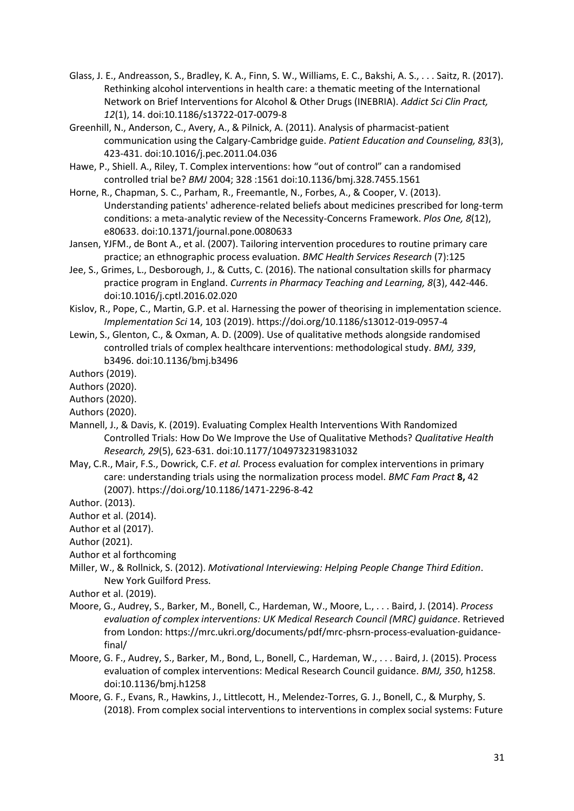- Glass, J. E., Andreasson, S., Bradley, K. A., Finn, S. W., Williams, E. C., Bakshi, A. S., . . . Saitz, R. (2017). Rethinking alcohol interventions in health care: a thematic meeting of the International Network on Brief Interventions for Alcohol & Other Drugs (INEBRIA). *Addict Sci Clin Pract, 12*(1), 14. doi:10.1186/s13722-017-0079-8
- Greenhill, N., Anderson, C., Avery, A., & Pilnick, A. (2011). Analysis of pharmacist-patient communication using the Calgary-Cambridge guide. *Patient Education and Counseling, 83*(3), 423-431. doi:10.1016/j.pec.2011.04.036
- Hawe, P., Shiell. A., Riley, T. Complex interventions: how "out of control" can a randomised controlled trial be? *BMJ* 2004; 328 :1561 doi:10.1136/bmj.328.7455.1561
- Horne, R., Chapman, S. C., Parham, R., Freemantle, N., Forbes, A., & Cooper, V. (2013). Understanding patients' adherence-related beliefs about medicines prescribed for long-term conditions: a meta-analytic review of the Necessity-Concerns Framework. *Plos One, 8*(12), e80633. doi:10.1371/journal.pone.0080633
- Jansen, YJFM., de Bont A., et al. (2007). Tailoring intervention procedures to routine primary care practice; an ethnographic process evaluation. *BMC Health Services Research* (7):125
- Jee, S., Grimes, L., Desborough, J., & Cutts, C. (2016). The national consultation skills for pharmacy practice program in England. *Currents in Pharmacy Teaching and Learning, 8*(3), 442-446. doi:10.1016/j.cptl.2016.02.020
- Kislov, R., Pope, C., Martin, G.P. et al. Harnessing the power of theorising in implementation science. *Implementation Sci* 14, 103 (2019). https://doi.org/10.1186/s13012-019-0957-4
- Lewin, S., Glenton, C., & Oxman, A. D. (2009). Use of qualitative methods alongside randomised controlled trials of complex healthcare interventions: methodological study. *BMJ, 339*, b3496. doi:10.1136/bmj.b3496

Authors (2019).

Authors (2020).

Authors (2020).

- Authors (2020).
- Mannell, J., & Davis, K. (2019). Evaluating Complex Health Interventions With Randomized Controlled Trials: How Do We Improve the Use of Qualitative Methods? *Qualitative Health Research, 29*(5), 623-631. doi:10.1177/1049732319831032
- May, C.R., Mair, F.S., Dowrick, C.F. *et al.* Process evaluation for complex interventions in primary care: understanding trials using the normalization process model. *BMC Fam Pract* **8,** 42 (2007). https://doi.org/10.1186/1471-2296-8-42

Author. (2013).

- Author et al. (2014).
- Author et al (2017).

Author (2021).

- Author et al forthcoming
- Miller, W., & Rollnick, S. (2012). *Motivational Interviewing: Helping People Change Third Edition*. New York Guilford Press.

Author et al. (2019).

- Moore, G., Audrey, S., Barker, M., Bonell, C., Hardeman, W., Moore, L., . . . Baird, J. (2014). *Process evaluation of complex interventions: UK Medical Research Council (MRC) guidance*. Retrieved from London: https://mrc.ukri.org/documents/pdf/mrc-phsrn-process-evaluation-guidancefinal/
- Moore, G. F., Audrey, S., Barker, M., Bond, L., Bonell, C., Hardeman, W., . . . Baird, J. (2015). Process evaluation of complex interventions: Medical Research Council guidance. *BMJ, 350*, h1258. doi:10.1136/bmj.h1258
- Moore, G. F., Evans, R., Hawkins, J., Littlecott, H., Melendez-Torres, G. J., Bonell, C., & Murphy, S. (2018). From complex social interventions to interventions in complex social systems: Future